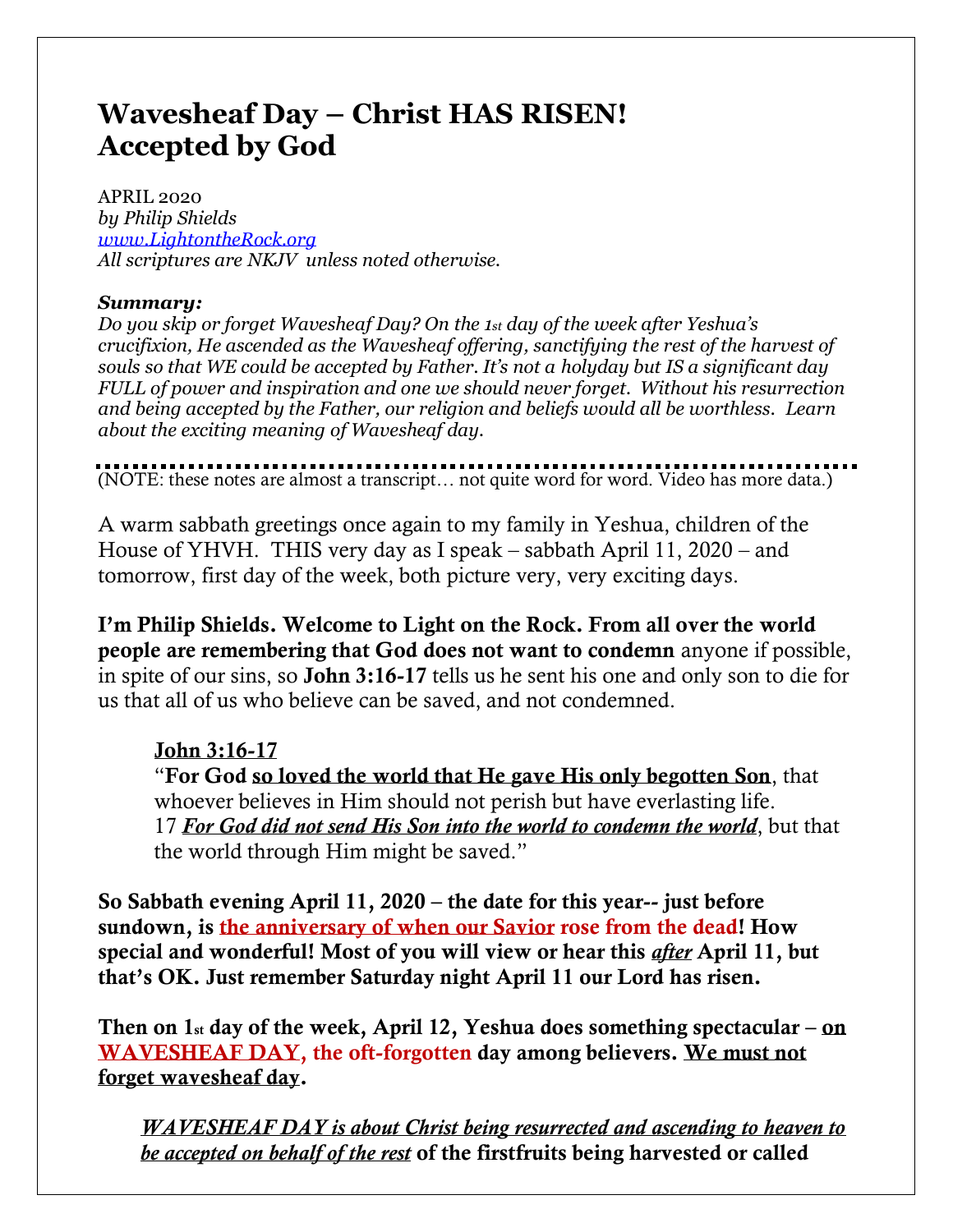# **Wavesheaf Day – Christ HAS RISEN! Accepted by God**

APRIL 2020 *by Philip Shields [www.LightontheRock.org](http://www.lightontherock.org/) All scriptures are NKJV unless noted otherwise.* 

# *Summary:*

*Do you skip or forget Wavesheaf Day? On the 1st day of the week after Yeshua's crucifixion, He ascended as the Wavesheaf offering, sanctifying the rest of the harvest of souls so that WE could be accepted by Father. It's not a holyday but IS a significant day FULL of power and inspiration and one we should never forget. Without his resurrection and being accepted by the Father, our religion and beliefs would all be worthless. Learn about the exciting meaning of Wavesheaf day.*

(NOTE: these notes are almost a transcript… not quite word for word. Video has more data.)

A warm sabbath greetings once again to my family in Yeshua, children of the House of YHVH. THIS very day as I speak – sabbath April 11, 2020 – and tomorrow, first day of the week, both picture very, very exciting days.

I'm Philip Shields. Welcome to Light on the Rock. From all over the world people are remembering that God does not want to condemn anyone if possible, in spite of our sins, so John 3:16-17 tells us he sent his one and only son to die for us that all of us who believe can be saved, and not condemned.

# John 3:16-17

"For God so loved the world that He gave His only begotten Son, that whoever believes in Him should not perish but have everlasting life. 17 *For God did not send His Son into the world to condemn the world*, but that the world through Him might be saved."

So Sabbath evening April 11, 2020 – the date for this year-- just before sundown, is the anniversary of when our Savior rose from the dead! How special and wonderful! Most of you will view or hear this *after* April 11, but that's OK. Just remember Saturday night April 11 our Lord has risen.

Then on  $1st$  day of the week, April 12, Yeshua does something spectacular – on WAVESHEAF DAY, the oft-forgotten day among believers. We must not forget wavesheaf day.

*WAVESHEAF DAY is about Christ being resurrected and ascending to heaven to be accepted on behalf of the rest* of the firstfruits being harvested or called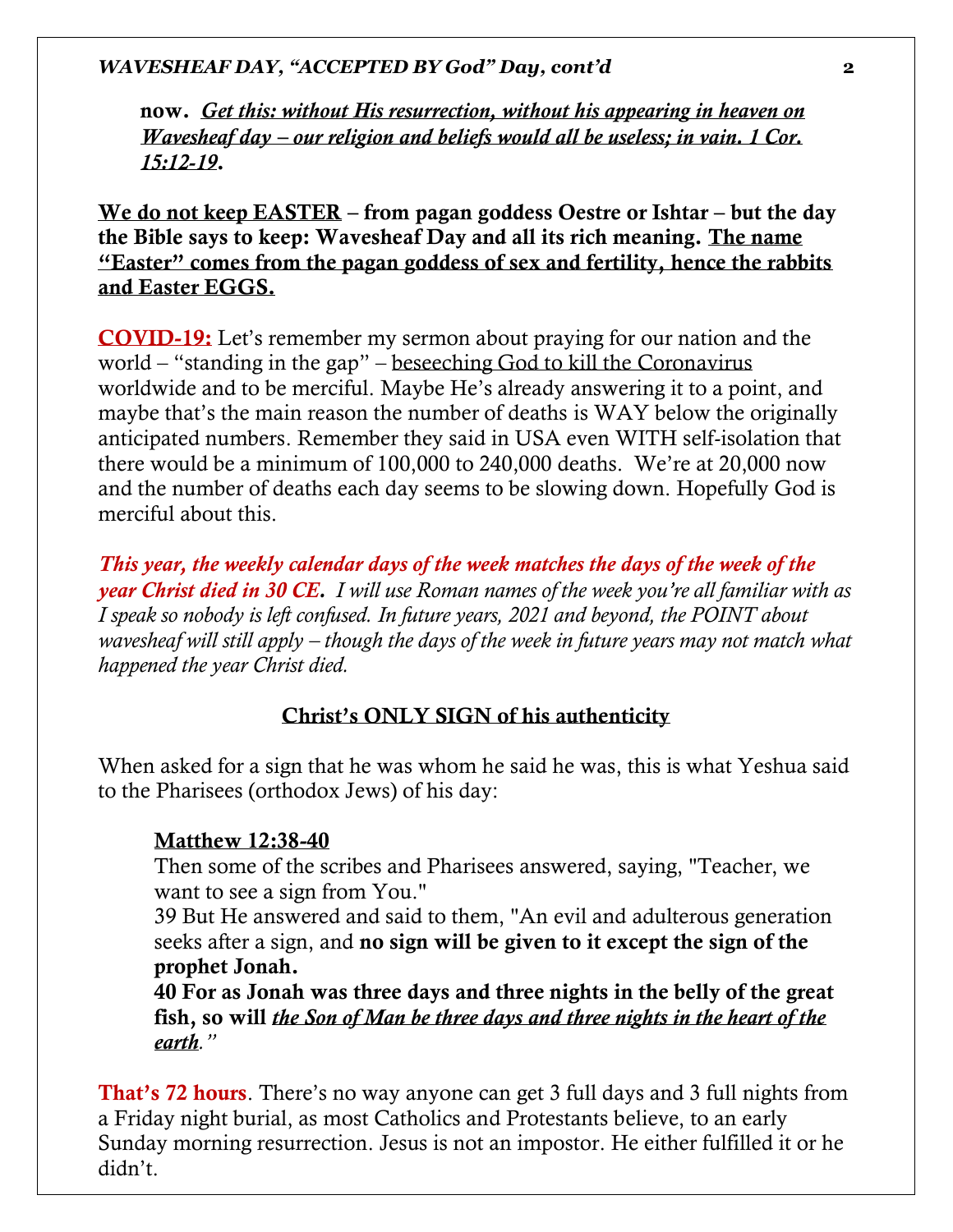now. *Get this: without His resurrection, without his appearing in heaven on Wavesheaf day – our religion and beliefs would all be useless; in vain. 1 Cor. 15:12-19*.

We do not keep EASTER – from pagan goddess Oestre or Ishtar – but the day the Bible says to keep: Wavesheaf Day and all its rich meaning. The name "Easter" comes from the pagan goddess of sex and fertility, hence the rabbits and Easter EGGS.

COVID-19: Let's remember my sermon about praying for our nation and the world – "standing in the gap" – beseeching God to kill the Coronavirus worldwide and to be merciful. Maybe He's already answering it to a point, and maybe that's the main reason the number of deaths is WAY below the originally anticipated numbers. Remember they said in USA even WITH self-isolation that there would be a minimum of 100,000 to 240,000 deaths. We're at 20,000 now and the number of deaths each day seems to be slowing down. Hopefully God is merciful about this.

*This year, the weekly calendar days of the week matches the days of the week of the year Christ died in 30 CE. I will use Roman names of the week you're all familiar with as I speak so nobody is left confused. In future years, 2021 and beyond, the POINT about wavesheaf will still apply – though the days of the week in future years may not match what happened the year Christ died.* 

#### Christ's ONLY SIGN of his authenticity

When asked for a sign that he was whom he said he was, this is what Yeshua said to the Pharisees (orthodox Jews) of his day:

#### Matthew 12:38-40

Then some of the scribes and Pharisees answered, saying, "Teacher, we want to see a sign from You."

39 But He answered and said to them, "An evil and adulterous generation seeks after a sign, and no sign will be given to it except the sign of the prophet Jonah.

40 For as Jonah was three days and three nights in the belly of the great fish, so will *the Son of Man be three days and three nights in the heart of the earth."*

That's 72 hours. There's no way anyone can get 3 full days and 3 full nights from a Friday night burial, as most Catholics and Protestants believe, to an early Sunday morning resurrection. Jesus is not an impostor. He either fulfilled it or he didn't.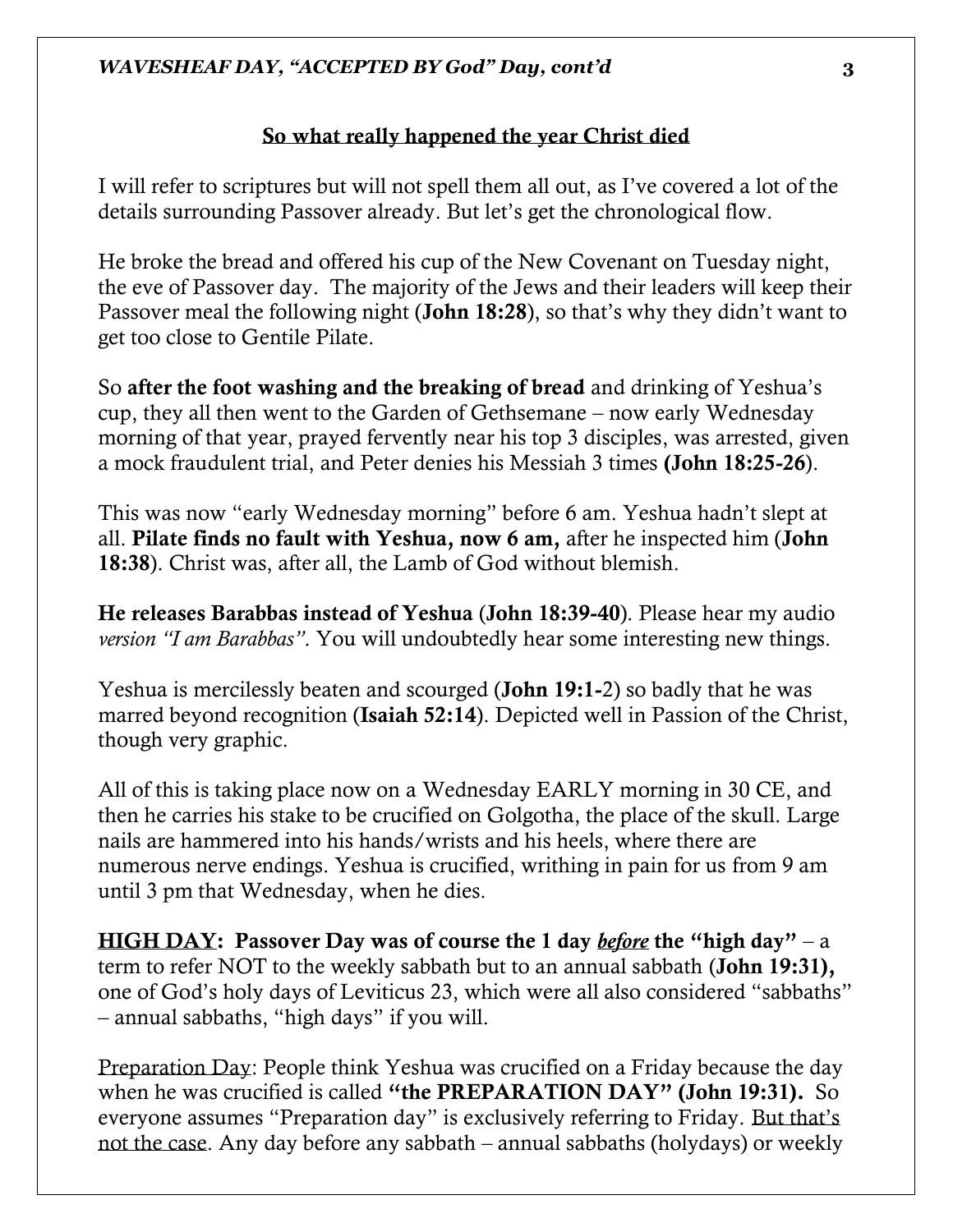#### So what really happened the year Christ died

I will refer to scriptures but will not spell them all out, as I've covered a lot of the details surrounding Passover already. But let's get the chronological flow.

He broke the bread and offered his cup of the New Covenant on Tuesday night, the eve of Passover day. The majority of the Jews and their leaders will keep their Passover meal the following night (John 18:28), so that's why they didn't want to get too close to Gentile Pilate.

So after the foot washing and the breaking of bread and drinking of Yeshua's cup, they all then went to the Garden of Gethsemane – now early Wednesday morning of that year, prayed fervently near his top 3 disciples, was arrested, given a mock fraudulent trial, and Peter denies his Messiah 3 times (John 18:25-26).

This was now "early Wednesday morning" before 6 am. Yeshua hadn't slept at all. Pilate finds no fault with Yeshua, now 6 am, after he inspected him (John 18:38). Christ was, after all, the Lamb of God without blemish.

He releases Barabbas instead of Yeshua (John 18:39-40). Please hear my audio *version "I am Barabbas"*. You will undoubtedly hear some interesting new things.

Yeshua is mercilessly beaten and scourged (John 19:1-2) so badly that he was marred beyond recognition (Isaiah 52:14). Depicted well in Passion of the Christ, though very graphic.

All of this is taking place now on a Wednesday EARLY morning in 30 CE, and then he carries his stake to be crucified on Golgotha, the place of the skull. Large nails are hammered into his hands/wrists and his heels, where there are numerous nerve endings. Yeshua is crucified, writhing in pain for us from 9 am until 3 pm that Wednesday, when he dies.

HIGH DAY: Passover Day was of course the 1 day *before* the "high day" – a term to refer NOT to the weekly sabbath but to an annual sabbath (John 19:31), one of God's holy days of Leviticus 23, which were all also considered "sabbaths" – annual sabbaths, "high days" if you will.

Preparation Day: People think Yeshua was crucified on a Friday because the day when he was crucified is called "the PREPARATION DAY" (John 19:31). So everyone assumes "Preparation day" is exclusively referring to Friday. But that's not the case. Any day before any sabbath – annual sabbaths (holydays) or weekly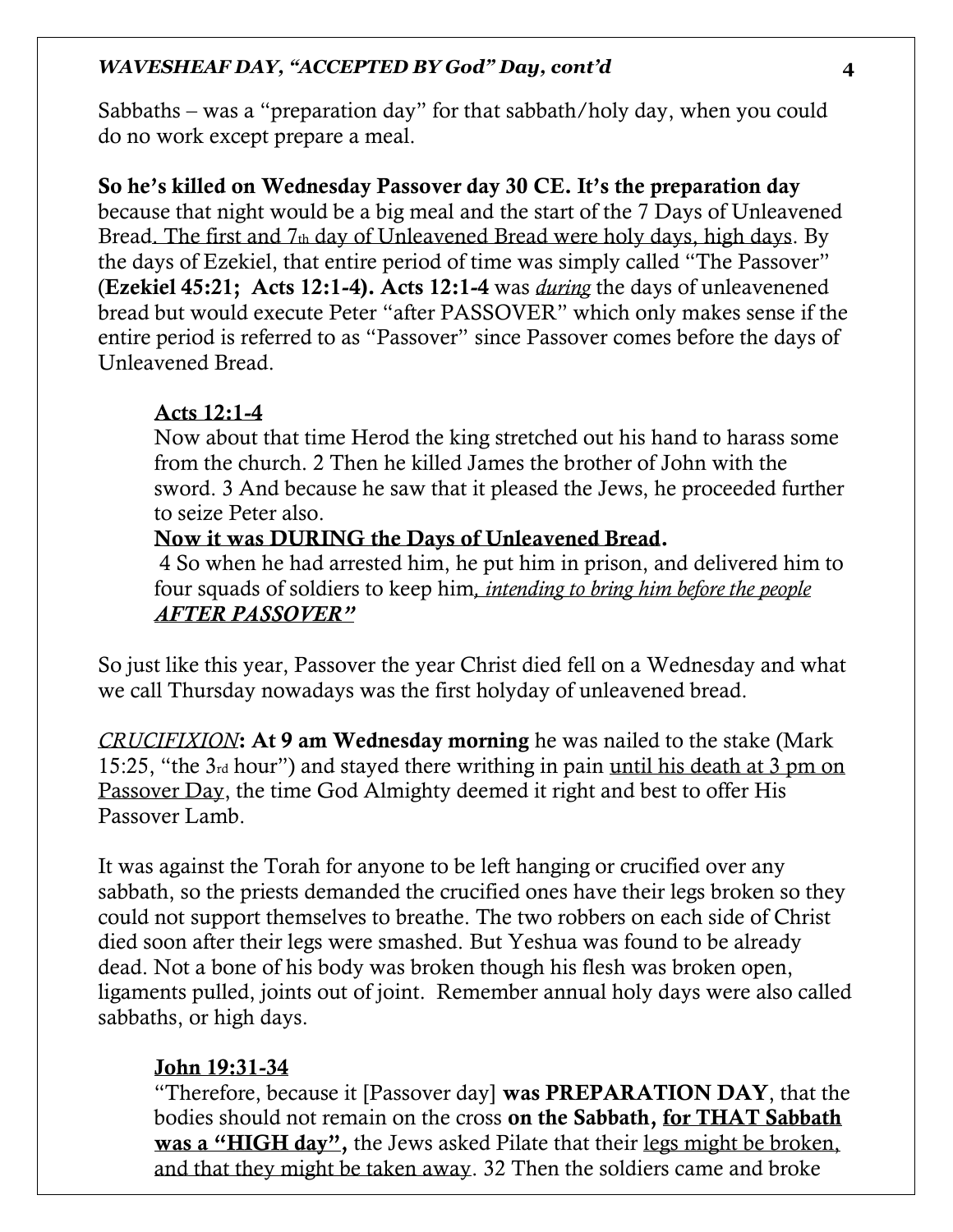Sabbaths – was a "preparation day" for that sabbath/holy day, when you could do no work except prepare a meal.

# So he's killed on Wednesday Passover day 30 CE. It's the preparation day

because that night would be a big meal and the start of the 7 Days of Unleavened Bread. The first and  $7<sub>th</sub>$  day of Unleavened Bread were holy days, high days. By the days of Ezekiel, that entire period of time was simply called "The Passover" (Ezekiel 45:21; Acts 12:1-4). Acts 12:1-4 was *during* the days of unleavenened bread but would execute Peter "after PASSOVER" which only makes sense if the entire period is referred to as "Passover" since Passover comes before the days of Unleavened Bread.

#### Acts 12:1-4

Now about that time Herod the king stretched out his hand to harass some from the church. 2 Then he killed James the brother of John with the sword. 3 And because he saw that it pleased the Jews, he proceeded further to seize Peter also.

#### Now it was DURING the Days of Unleavened Bread.

4 So when he had arrested him, he put him in prison, and delivered him to four squads of soldiers to keep him*, intending to bring him before the people AFTER PASSOVER"*

So just like this year, Passover the year Christ died fell on a Wednesday and what we call Thursday nowadays was the first holyday of unleavened bread.

*CRUCIFIXION*: At 9 am Wednesday morning he was nailed to the stake (Mark 15:25, "the 3rd hour") and stayed there writhing in pain until his death at 3 pm on Passover Day, the time God Almighty deemed it right and best to offer His Passover Lamb.

It was against the Torah for anyone to be left hanging or crucified over any sabbath, so the priests demanded the crucified ones have their legs broken so they could not support themselves to breathe. The two robbers on each side of Christ died soon after their legs were smashed. But Yeshua was found to be already dead. Not a bone of his body was broken though his flesh was broken open, ligaments pulled, joints out of joint. Remember annual holy days were also called sabbaths, or high days.

#### John 19:31-34

"Therefore, because it [Passover day] was PREPARATION DAY, that the bodies should not remain on the cross on the Sabbath, for THAT Sabbath was a "HIGH day", the Jews asked Pilate that their legs might be broken, and that they might be taken away. 32 Then the soldiers came and broke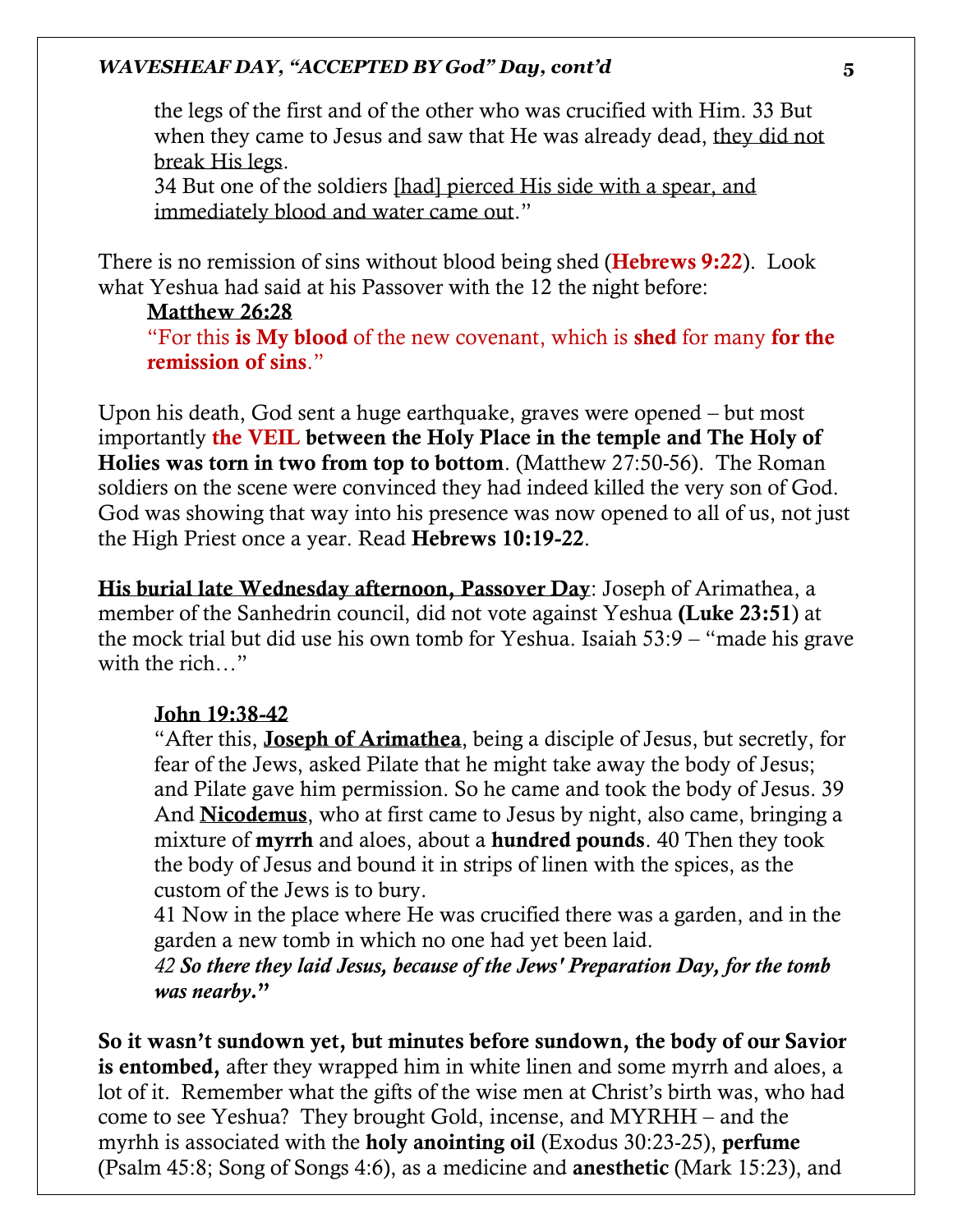the legs of the first and of the other who was crucified with Him. 33 But when they came to Jesus and saw that He was already dead, they did not break His legs.

34 But one of the soldiers [had] pierced His side with a spear, and immediately blood and water came out."

There is no remission of sins without blood being shed (**Hebrews 9:22**). Look what Yeshua had said at his Passover with the 12 the night before:

#### Matthew 26:28

"For this is My blood of the new covenant, which is shed for many for the remission of sins."

Upon his death, God sent a huge earthquake, graves were opened – but most importantly the VEIL between the Holy Place in the temple and The Holy of Holies was torn in two from top to bottom. (Matthew 27:50-56). The Roman soldiers on the scene were convinced they had indeed killed the very son of God. God was showing that way into his presence was now opened to all of us, not just the High Priest once a year. Read Hebrews 10:19-22.

His burial late Wednesday afternoon, Passover Day: Joseph of Arimathea, a member of the Sanhedrin council, did not vote against Yeshua (Luke 23:51) at the mock trial but did use his own tomb for Yeshua. Isaiah 53:9 – "made his grave with the rich…"

#### John 19:38-42

"After this, Joseph of Arimathea, being a disciple of Jesus, but secretly, for fear of the Jews, asked Pilate that he might take away the body of Jesus; and Pilate gave him permission. So he came and took the body of Jesus. 39 And Nicodemus, who at first came to Jesus by night, also came, bringing a mixture of myrrh and aloes, about a hundred pounds. 40 Then they took the body of Jesus and bound it in strips of linen with the spices, as the custom of the Jews is to bury.

41 Now in the place where He was crucified there was a garden, and in the garden a new tomb in which no one had yet been laid.

*42 So there they laid Jesus, because of the Jews' Preparation Day, for the tomb was nearby.*"

So it wasn't sundown yet, but minutes before sundown, the body of our Savior is entombed, after they wrapped him in white linen and some myrrh and aloes, a lot of it. Remember what the gifts of the wise men at Christ's birth was, who had come to see Yeshua? They brought Gold, incense, and MYRHH – and the myrhh is associated with the holy anointing oil (Exodus 30:23-25), perfume (Psalm 45:8; Song of Songs 4:6), as a medicine and anesthetic (Mark 15:23), and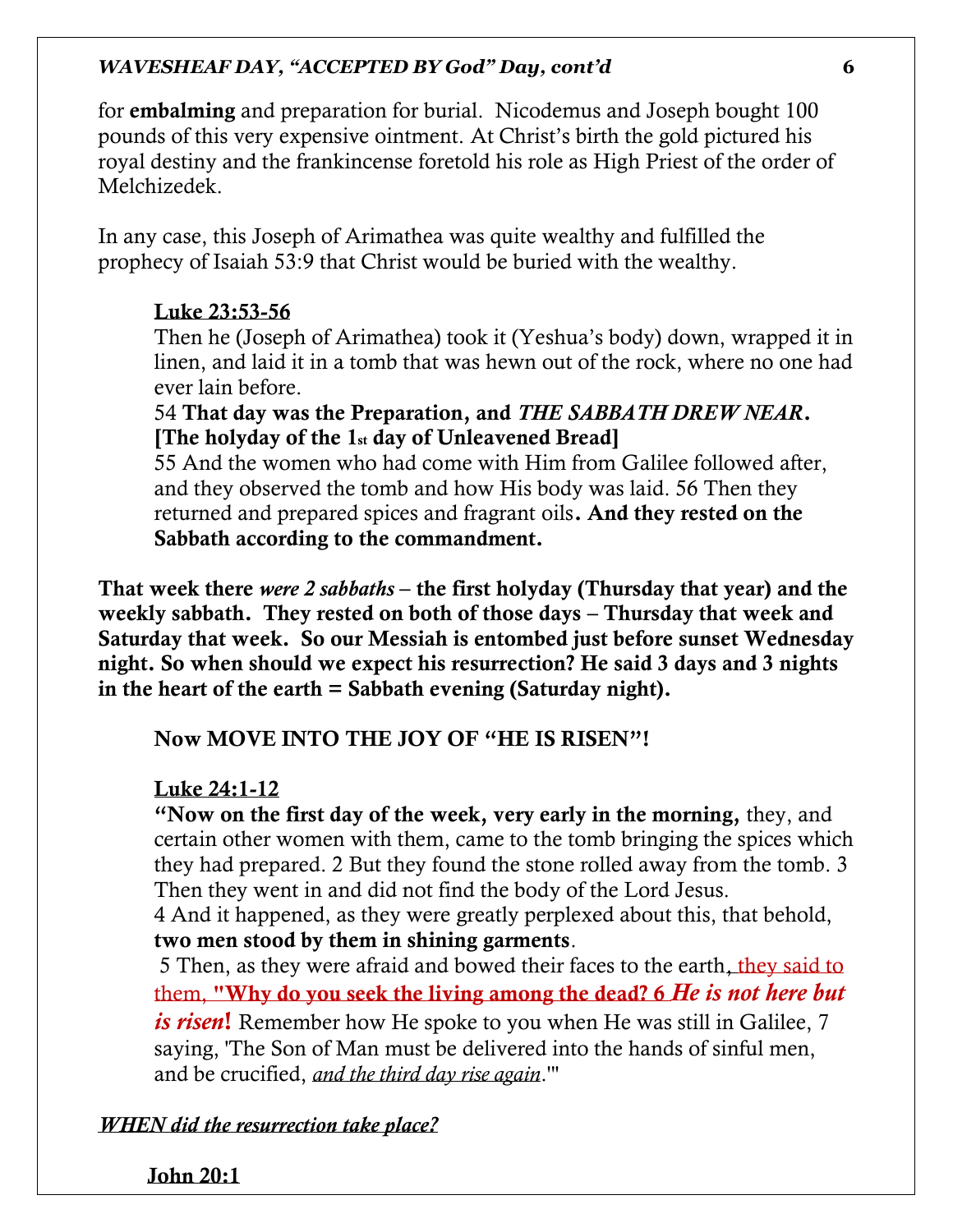for embalming and preparation for burial. Nicodemus and Joseph bought 100 pounds of this very expensive ointment. At Christ's birth the gold pictured his royal destiny and the frankincense foretold his role as High Priest of the order of Melchizedek.

In any case, this Joseph of Arimathea was quite wealthy and fulfilled the prophecy of Isaiah 53:9 that Christ would be buried with the wealthy.

# Luke 23:53-56

Then he (Joseph of Arimathea) took it (Yeshua's body) down, wrapped it in linen, and laid it in a tomb that was hewn out of the rock, where no one had ever lain before.

# 54 That day was the Preparation, and *THE SABBATH DREW NEAR*. [The holyday of the 1st day of Unleavened Bread]

55 And the women who had come with Him from Galilee followed after, and they observed the tomb and how His body was laid. 56 Then they returned and prepared spices and fragrant oils. And they rested on the Sabbath according to the commandment.

That week there *were 2 sabbaths* – the first holyday (Thursday that year) and the weekly sabbath. They rested on both of those days – Thursday that week and Saturday that week. So our Messiah is entombed just before sunset Wednesday night. So when should we expect his resurrection? He said 3 days and 3 nights in the heart of the earth = Sabbath evening (Saturday night).

Now MOVE INTO THE JOY OF "HE IS RISEN"!

# Luke 24:1-12

"Now on the first day of the week, very early in the morning, they, and certain other women with them, came to the tomb bringing the spices which they had prepared. 2 But they found the stone rolled away from the tomb. 3 Then they went in and did not find the body of the Lord Jesus.

4 And it happened, as they were greatly perplexed about this, that behold, two men stood by them in shining garments.

5 Then, as they were afraid and bowed their faces to the earth, they said to them, "Why do you seek the living among the dead? 6 *He is not here but is risen*! Remember how He spoke to you when He was still in Galilee, 7 saying, 'The Son of Man must be delivered into the hands of sinful men, and be crucified, *and the third day rise again*.'"

*WHEN did the resurrection take place?*

John 20:1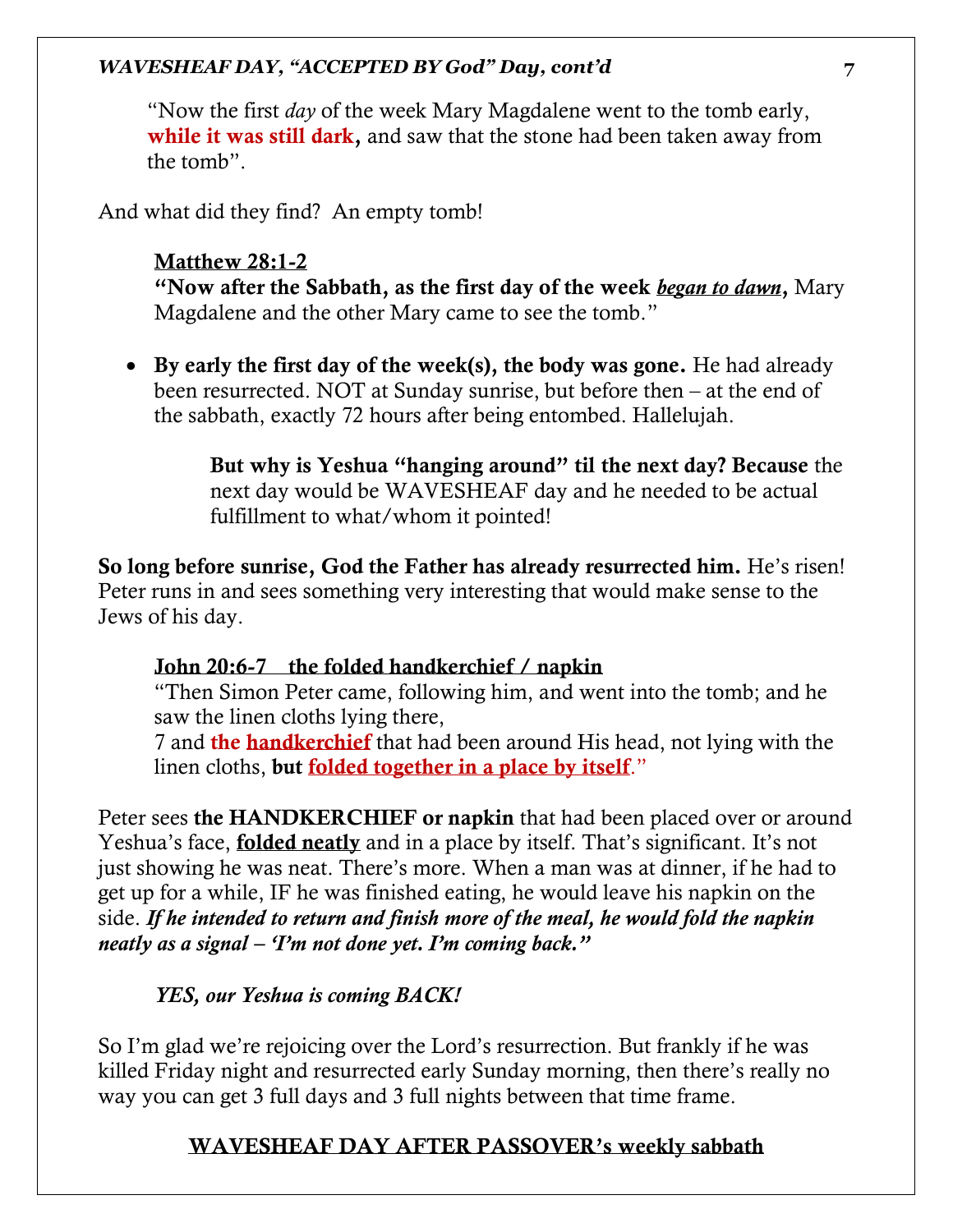"Now the first *day* of the week Mary Magdalene went to the tomb early, while it was still dark, and saw that the stone had been taken away from the tomb".

And what did they find? An empty tomb!

### Matthew 28:1-2

"Now after the Sabbath, as the first day of the week *began to dawn*, Mary Magdalene and the other Mary came to see the tomb."

• By early the first day of the week(s), the body was gone. He had already been resurrected. NOT at Sunday sunrise, but before then – at the end of the sabbath, exactly 72 hours after being entombed. Hallelujah.

> But why is Yeshua "hanging around" til the next day? Because the next day would be WAVESHEAF day and he needed to be actual fulfillment to what/whom it pointed!

So long before sunrise, God the Father has already resurrected him. He's risen! Peter runs in and sees something very interesting that would make sense to the Jews of his day.

# John 20:6-7 the folded handkerchief / napkin

"Then Simon Peter came, following him, and went into the tomb; and he saw the linen cloths lying there,

7 and the handkerchief that had been around His head, not lying with the linen cloths, but folded together in a place by itself."

Peter sees the HANDKERCHIEF or napkin that had been placed over or around Yeshua's face, **folded neatly** and in a place by itself. That's significant. It's not just showing he was neat. There's more. When a man was at dinner, if he had to get up for a while, IF he was finished eating, he would leave his napkin on the side. *If he intended to return and finish more of the meal, he would fold the napkin neatly as a signal – 'I'm not done yet. I'm coming back."* 

# *YES, our Yeshua is coming BACK!*

So I'm glad we're rejoicing over the Lord's resurrection. But frankly if he was killed Friday night and resurrected early Sunday morning, then there's really no way you can get 3 full days and 3 full nights between that time frame.

# WAVESHEAF DAY AFTER PASSOVER's weekly sabbath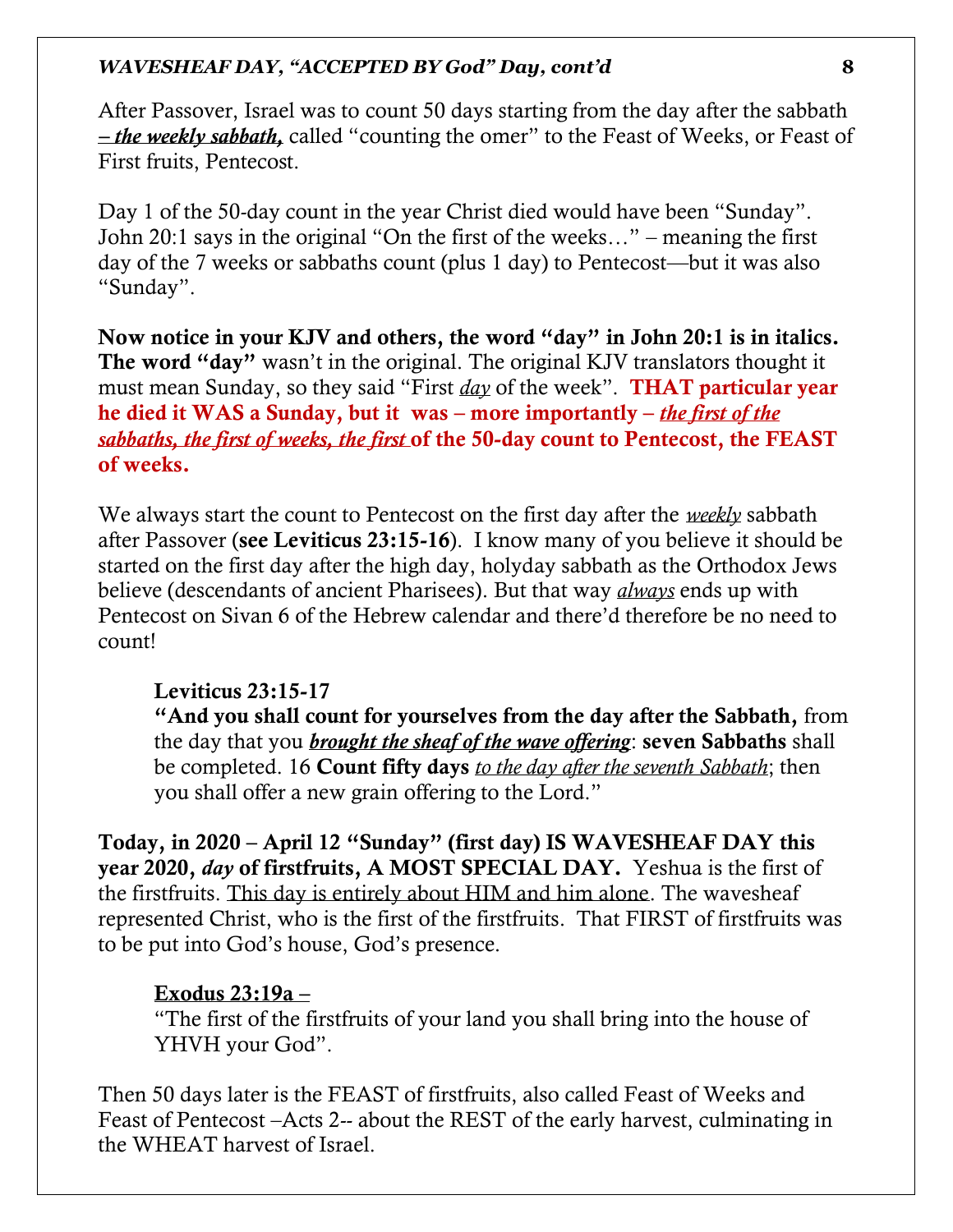After Passover, Israel was to count 50 days starting from the day after the sabbath *– the weekly sabbath,* called "counting the omer" to the Feast of Weeks, or Feast of First fruits, Pentecost.

Day 1 of the 50-day count in the year Christ died would have been "Sunday". John 20:1 says in the original "On the first of the weeks…" – meaning the first day of the 7 weeks or sabbaths count (plus 1 day) to Pentecost—but it was also "Sunday".

Now notice in your KJV and others, the word "day" in John 20:1 is in italics. The word "day" wasn't in the original. The original KJV translators thought it must mean Sunday, so they said "First *day* of the week". THAT particular year he died it WAS a Sunday, but it was – more importantly – *the first of the sabbaths, the first of weeks, the first* of the 50-day count to Pentecost, the FEAST of weeks.

We always start the count to Pentecost on the first day after the *weekly* sabbath after Passover (see Leviticus 23:15-16). I know many of you believe it should be started on the first day after the high day, holyday sabbath as the Orthodox Jews believe (descendants of ancient Pharisees). But that way *always* ends up with Pentecost on Sivan 6 of the Hebrew calendar and there'd therefore be no need to count!

#### Leviticus 23:15-17

"And you shall count for yourselves from the day after the Sabbath, from the day that you *brought the sheaf of the wave offering*: seven Sabbaths shall be completed. 16 Count fifty days *to the day after the seventh Sabbath*; then you shall offer a new grain offering to the Lord."

Today, in 2020 – April 12 "Sunday" (first day) IS WAVESHEAF DAY this year 2020, *day* of firstfruits, A MOST SPECIAL DAY. Yeshua is the first of the firstfruits. This day is entirely about HIM and him alone. The wavesheaf represented Christ, who is the first of the firstfruits. That FIRST of firstfruits was to be put into God's house, God's presence.

# Exodus 23:19a –

"The first of the firstfruits of your land you shall bring into the house of YHVH your God".

Then 50 days later is the FEAST of firstfruits, also called Feast of Weeks and Feast of Pentecost –Acts 2-- about the REST of the early harvest, culminating in the WHEAT harvest of Israel.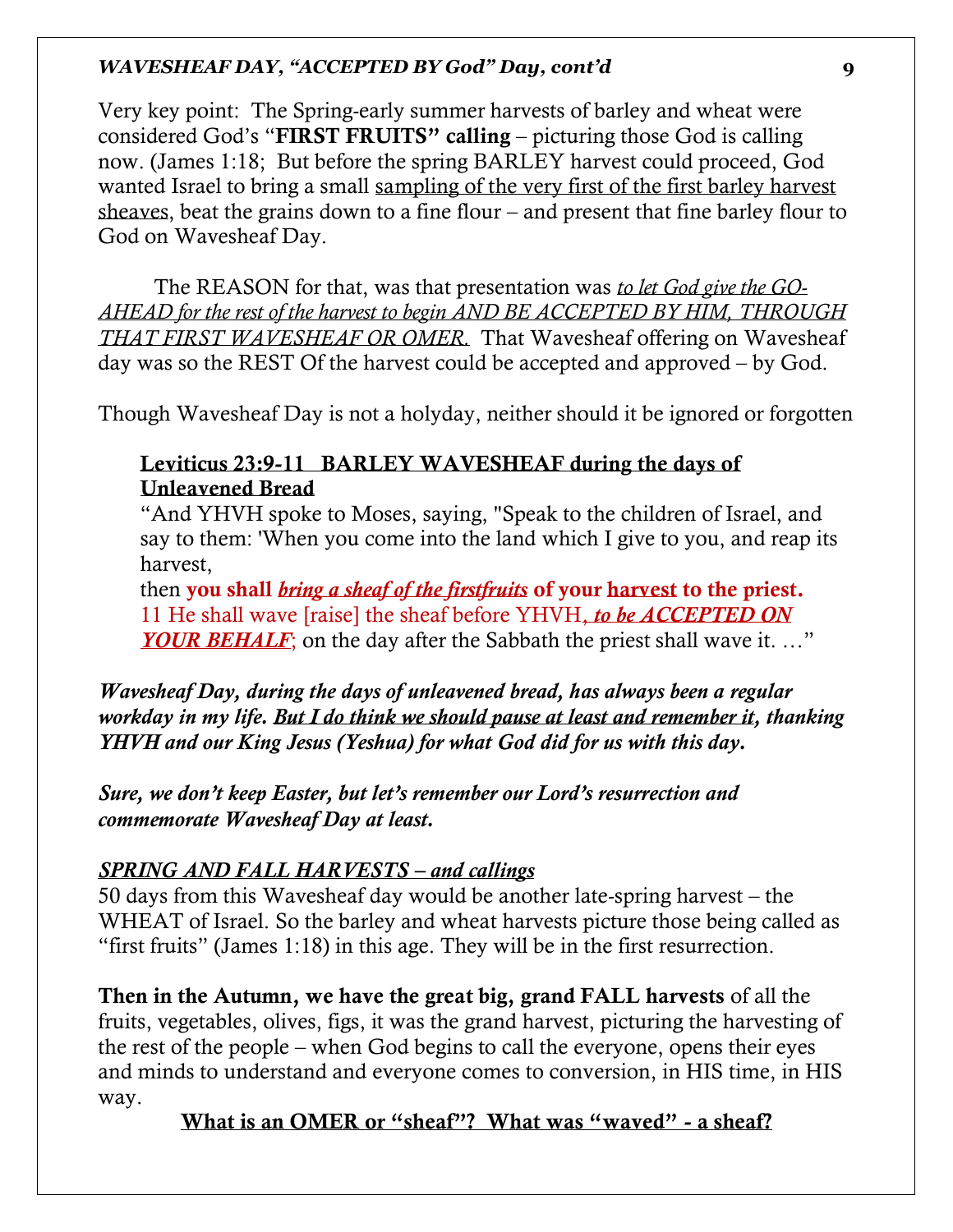Very key point: The Spring-early summer harvests of barley and wheat were considered God's "FIRST FRUITS" calling – picturing those God is calling now. (James 1:18; But before the spring BARLEY harvest could proceed, God wanted Israel to bring a small sampling of the very first of the first barley harvest sheaves, beat the grains down to a fine flour – and present that fine barley flour to God on Wavesheaf Day.

The REASON for that, was that presentation was *to let God give the GO-AHEAD for the rest of the harvest to begin AND BE ACCEPTED BY HIM, THROUGH THAT FIRST WAVESHEAF OR OMER.* That Wavesheaf offering on Wavesheaf day was so the REST Of the harvest could be accepted and approved – by God.

Though Wavesheaf Day is not a holyday, neither should it be ignored or forgotten

# Leviticus 23:9-11 BARLEY WAVESHEAF during the days of Unleavened Bread

"And YHVH spoke to Moses, saying, "Speak to the children of Israel, and say to them: 'When you come into the land which I give to you, and reap its harvest,

then you shall *bring a sheaf of the firstfruits* of your harvest to the priest. 11 He shall wave [raise] the sheaf before YHVH, *to be ACCEPTED ON YOUR BEHALF*; on the day after the Sabbath the priest shall wave it. ..."

*Wavesheaf Day, during the days of unleavened bread, has always been a regular workday in my life. But I do think we should pause at least and remember it, thanking YHVH and our King Jesus (Yeshua) for what God did for us with this day.* 

*Sure, we don't keep Easter, but let's remember our Lord's resurrection and commemorate Wavesheaf Day at least.* 

# *SPRING AND FALL HARVESTS – and callings*

50 days from this Wavesheaf day would be another late-spring harvest – the WHEAT of Israel. So the barley and wheat harvests picture those being called as "first fruits" (James 1:18) in this age. They will be in the first resurrection.

Then in the Autumn, we have the great big, grand FALL harvests of all the fruits, vegetables, olives, figs, it was the grand harvest, picturing the harvesting of the rest of the people – when God begins to call the everyone, opens their eyes and minds to understand and everyone comes to conversion, in HIS time, in HIS way.

What is an OMER or "sheaf"? What was "waved" - a sheaf?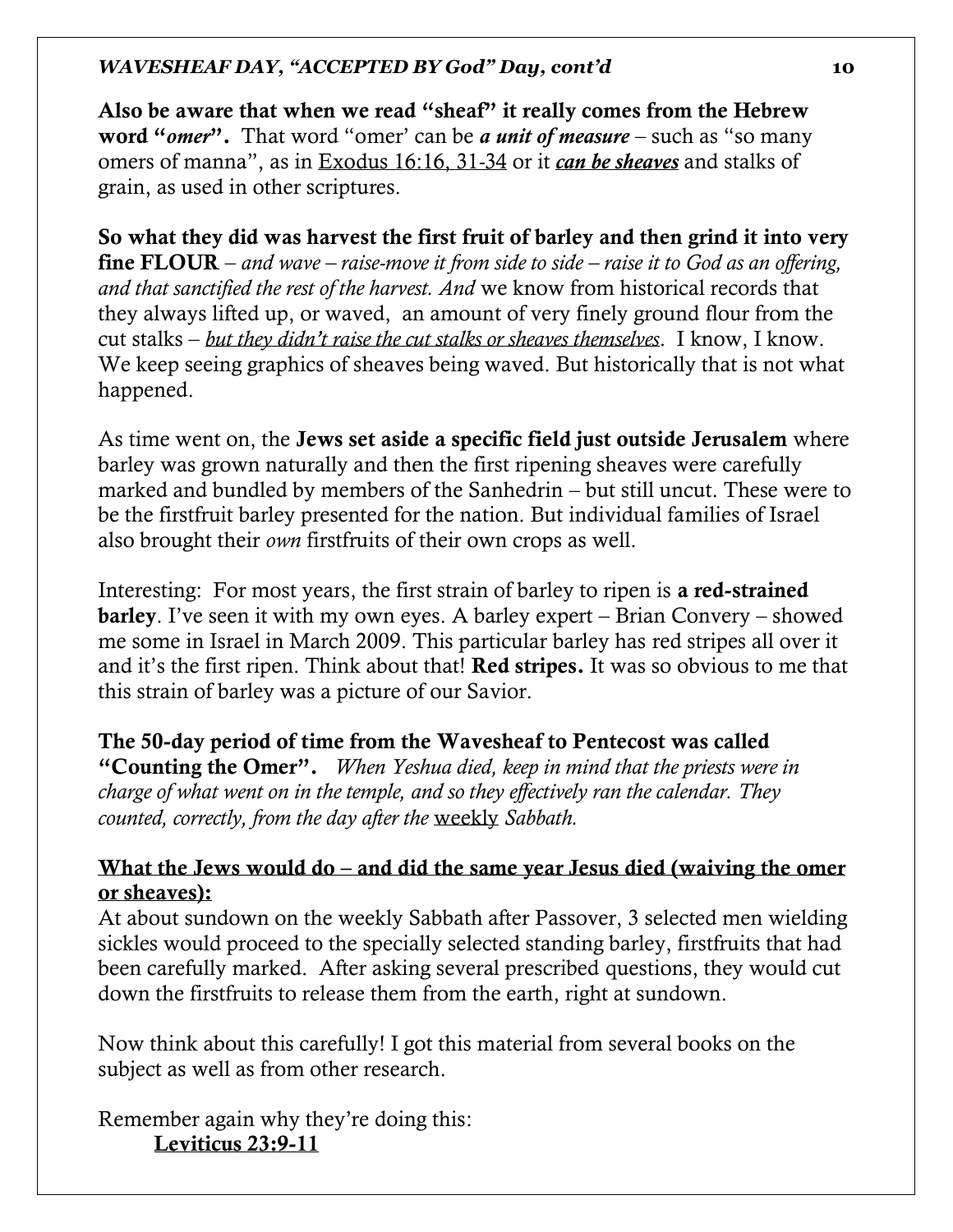Also be aware that when we read "sheaf" it really comes from the Hebrew word "*omer*". That word "omer' can be *a unit of measure* – such as "so many omers of manna", as in Exodus 16:16, 31-34 or it *can be sheaves* and stalks of grain, as used in other scriptures.

So what they did was harvest the first fruit of barley and then grind it into very fine FLOUR – *and wave – raise-move it from side to side – raise it to God as an offering, and that sanctified the rest of the harvest. And* we know from historical records that they always lifted up, or waved, an amount of very finely ground flour from the cut stalks – *but they didn't raise the cut stalks or sheaves themselves*. I know, I know. We keep seeing graphics of sheaves being waved. But historically that is not what happened.

As time went on, the Jews set aside a specific field just outside Jerusalem where barley was grown naturally and then the first ripening sheaves were carefully marked and bundled by members of the Sanhedrin – but still uncut. These were to be the firstfruit barley presented for the nation. But individual families of Israel also brought their *own* firstfruits of their own crops as well.

Interesting: For most years, the first strain of barley to ripen is a red-strained barley. I've seen it with my own eyes. A barley expert – Brian Convery – showed me some in Israel in March 2009. This particular barley has red stripes all over it and it's the first ripen. Think about that! Red stripes. It was so obvious to me that this strain of barley was a picture of our Savior.

# The 50-day period of time from the Wavesheaf to Pentecost was called

"Counting the Omer". *When Yeshua died, keep in mind that the priests were in charge of what went on in the temple, and so they effectively ran the calendar. They counted, correctly, from the day after the* weekly *Sabbath.* 

# What the Jews would do – and did the same year Jesus died (waiving the omer or sheaves):

At about sundown on the weekly Sabbath after Passover, 3 selected men wielding sickles would proceed to the specially selected standing barley, firstfruits that had been carefully marked. After asking several prescribed questions, they would cut down the firstfruits to release them from the earth, right at sundown.

Now think about this carefully! I got this material from several books on the subject as well as from other research.

Remember again why they're doing this: Leviticus 23:9-11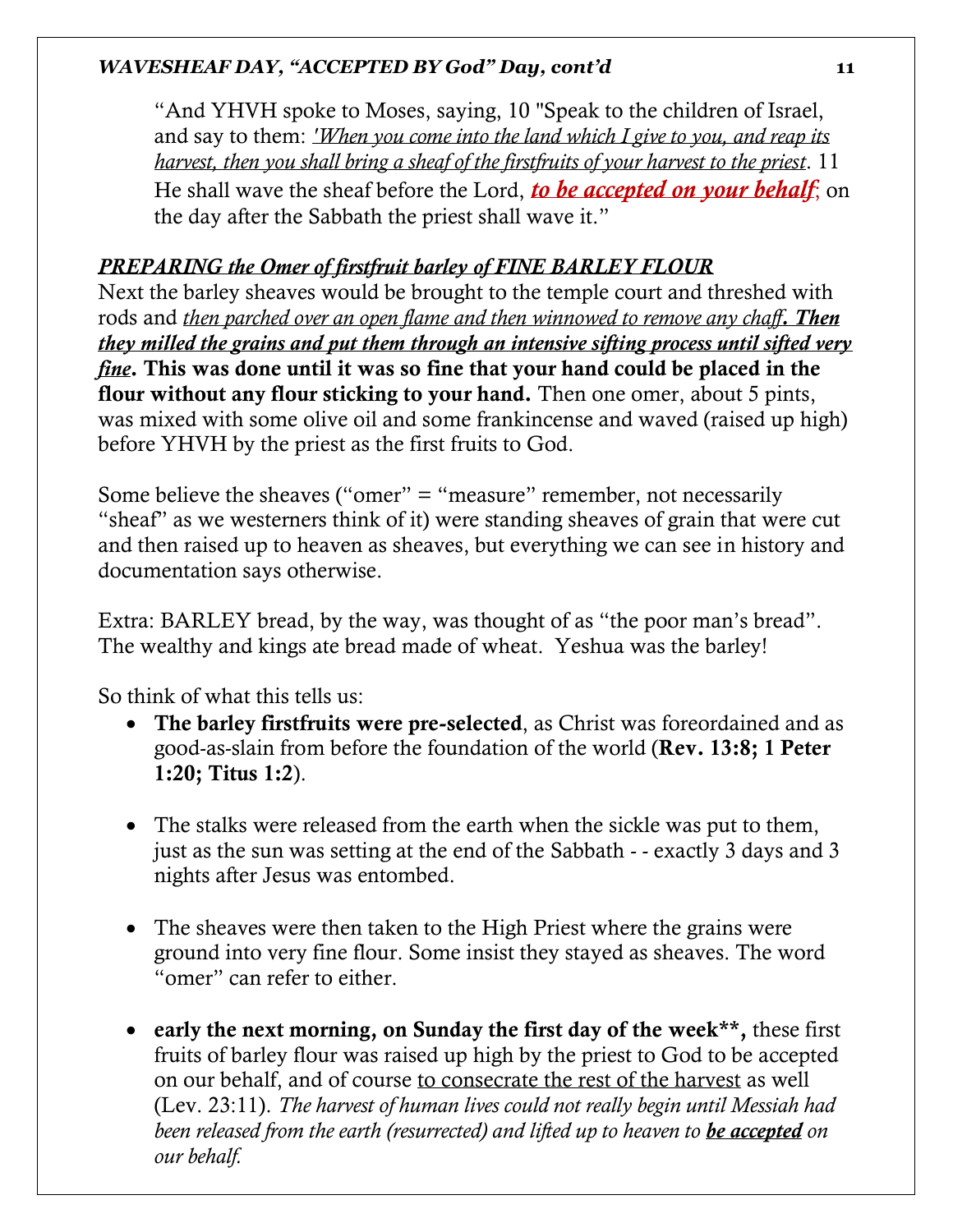"And YHVH spoke to Moses, saying, 10 "Speak to the children of Israel, and say to them: *'When you come into the land which I give to you, and reap its harvest, then you shall bring a sheaf of the firstfruits of your harvest to the priest*. 11 He shall wave the sheaf before the Lord, *to be accepted on your behalf*; on the day after the Sabbath the priest shall wave it."

# *PREPARING the Omer of firstfruit barley of FINE BARLEY FLOUR*

Next the barley sheaves would be brought to the temple court and threshed with rods and *then parched over an open flame and then winnowed to remove any chaff. Then they milled the grains and put them through an intensive sifting process until sifted very fine*. This was done until it was so fine that your hand could be placed in the flour without any flour sticking to your hand. Then one omer, about 5 pints, was mixed with some olive oil and some frankincense and waved (raised up high) before YHVH by the priest as the first fruits to God.

Some believe the sheaves ("omer" = "measure" remember, not necessarily "sheaf" as we westerners think of it) were standing sheaves of grain that were cut and then raised up to heaven as sheaves, but everything we can see in history and documentation says otherwise.

Extra: BARLEY bread, by the way, was thought of as "the poor man's bread". The wealthy and kings ate bread made of wheat. Yeshua was the barley!

So think of what this tells us:

- The barley firstfruits were pre-selected, as Christ was foreordained and as good-as-slain from before the foundation of the world (Rev. 13:8; 1 Peter 1:20; Titus 1:2).
- The stalks were released from the earth when the sickle was put to them, just as the sun was setting at the end of the Sabbath - - exactly 3 days and 3 nights after Jesus was entombed.
- The sheaves were then taken to the High Priest where the grains were ground into very fine flour. Some insist they stayed as sheaves. The word "omer" can refer to either.
- early the next morning, on Sunday the first day of the week\*\*, these first fruits of barley flour was raised up high by the priest to God to be accepted on our behalf, and of course to consecrate the rest of the harvest as well (Lev. 23:11). *The harvest of human lives could not really begin until Messiah had been released from the earth (resurrected) and lifted up to heaven to be accepted on our behalf.*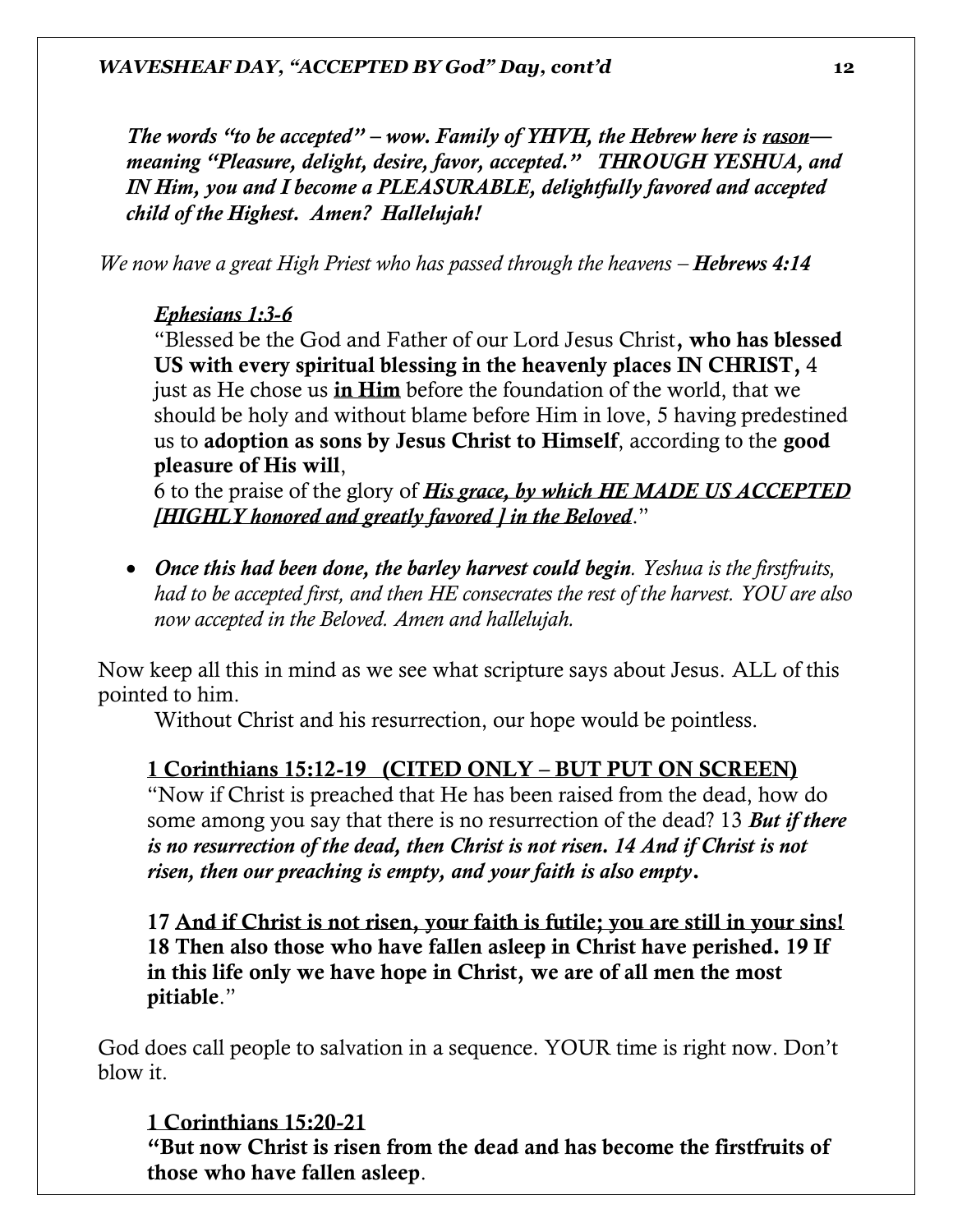*The words "to be accepted" – wow. Family of YHVH, the Hebrew here is rason meaning "Pleasure, delight, desire, favor, accepted." THROUGH YESHUA, and IN Him, you and I become a PLEASURABLE, delightfully favored and accepted child of the Highest. Amen? Hallelujah!* 

*We now have a great High Priest who has passed through the heavens – Hebrews 4:14* 

# *Ephesians 1:3-6*

"Blessed be the God and Father of our Lord Jesus Christ, who has blessed US with every spiritual blessing in the heavenly places IN CHRIST, 4 just as He chose us in Him before the foundation of the world, that we should be holy and without blame before Him in love, 5 having predestined us to adoption as sons by Jesus Christ to Himself, according to the good pleasure of His will,

6 to the praise of the glory of *His grace, by which HE MADE US ACCEPTED [HIGHLY honored and greatly favored ] in the Beloved*."

• *Once this had been done, the barley harvest could begin. Yeshua is the firstfruits, had to be accepted first, and then HE consecrates the rest of the harvest. YOU are also now accepted in the Beloved. Amen and hallelujah.* 

Now keep all this in mind as we see what scripture says about Jesus. ALL of this pointed to him.

Without Christ and his resurrection, our hope would be pointless.

# 1 Corinthians 15:12-19 (CITED ONLY – BUT PUT ON SCREEN)

"Now if Christ is preached that He has been raised from the dead, how do some among you say that there is no resurrection of the dead? 13 *But if there is no resurrection of the dead, then Christ is not risen. 14 And if Christ is not risen, then our preaching is empty, and your faith is also empty*.

17 And if Christ is not risen, your faith is futile; you are still in your sins! 18 Then also those who have fallen asleep in Christ have perished. 19 If in this life only we have hope in Christ, we are of all men the most pitiable."

God does call people to salvation in a sequence. YOUR time is right now. Don't blow it.

# 1 Corinthians 15:20-21

"But now Christ is risen from the dead and has become the firstfruits of those who have fallen asleep.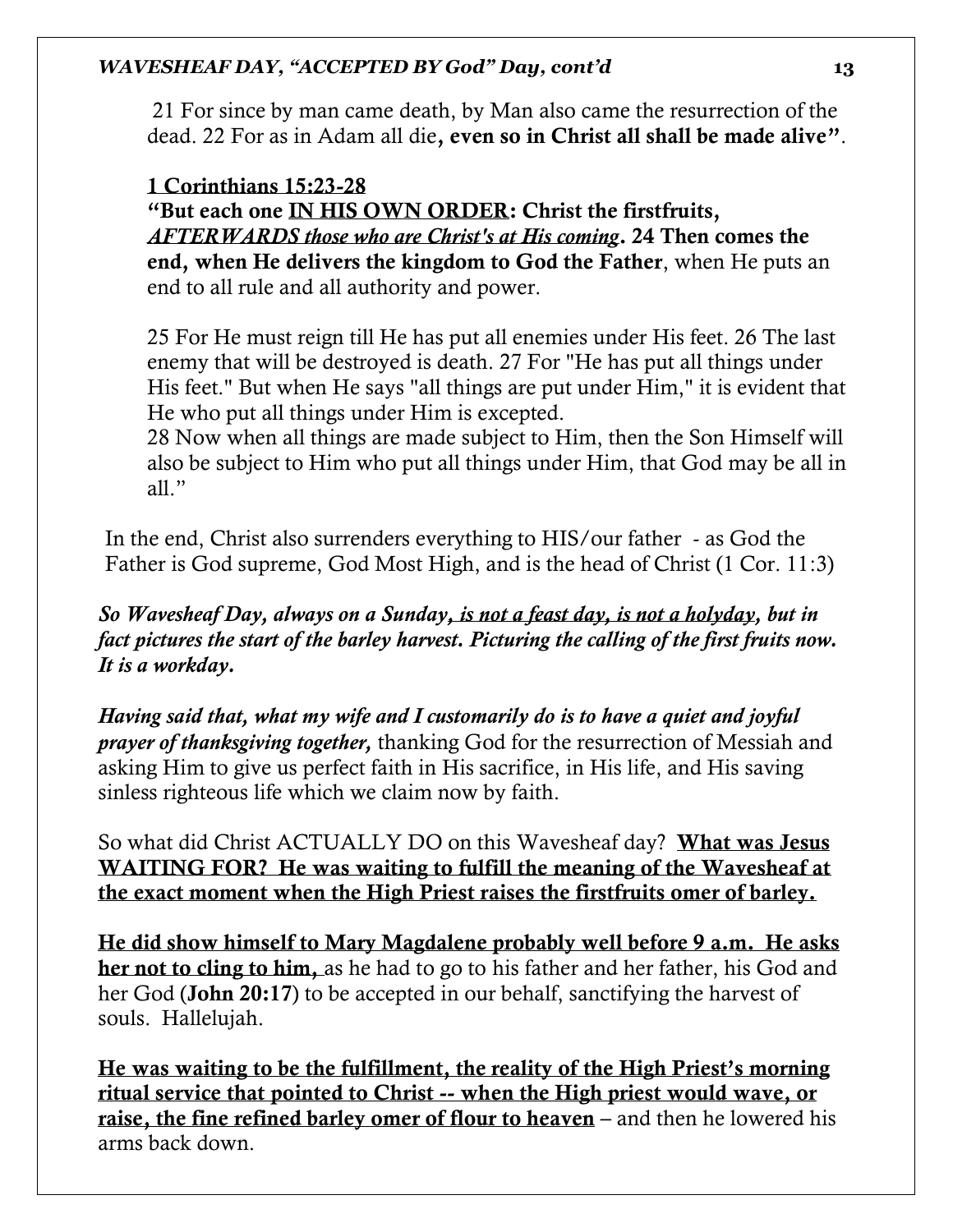21 For since by man came death, by Man also came the resurrection of the dead. 22 For as in Adam all die, even so in Christ all shall be made alive".

# 1 Corinthians 15:23-28

"But each one IN HIS OWN ORDER: Christ the firstfruits, *AFTERWARDS those who are Christ's at His coming*. 24 Then comes the end, when He delivers the kingdom to God the Father, when He puts an end to all rule and all authority and power.

25 For He must reign till He has put all enemies under His feet. 26 The last enemy that will be destroyed is death. 27 For "He has put all things under His feet." But when He says "all things are put under Him," it is evident that He who put all things under Him is excepted.

28 Now when all things are made subject to Him, then the Son Himself will also be subject to Him who put all things under Him, that God may be all in all."

In the end, Christ also surrenders everything to HIS/our father - as God the Father is God supreme, God Most High, and is the head of Christ (1 Cor. 11:3)

*So Wavesheaf Day, always on a Sunday, is not a feast day, is not a holyday, but in fact pictures the start of the barley harvest. Picturing the calling of the first fruits now. It is a workday.* 

*Having said that, what my wife and I customarily do is to have a quiet and joyful prayer of thanksgiving together,* thanking God for the resurrection of Messiah and asking Him to give us perfect faith in His sacrifice, in His life, and His saving sinless righteous life which we claim now by faith.

So what did Christ ACTUALLY DO on this Wavesheaf day? What was Jesus WAITING FOR? He was waiting to fulfill the meaning of the Wavesheaf at the exact moment when the High Priest raises the firstfruits omer of barley.

He did show himself to Mary Magdalene probably well before 9 a.m. He asks her not to cling to him, as he had to go to his father and her father, his God and her God (John 20:17) to be accepted in our behalf, sanctifying the harvest of souls. Hallelujah.

He was waiting to be the fulfillment, the reality of the High Priest's morning ritual service that pointed to Christ -- when the High priest would wave, or raise, the fine refined barley omer of flour to heaven – and then he lowered his arms back down.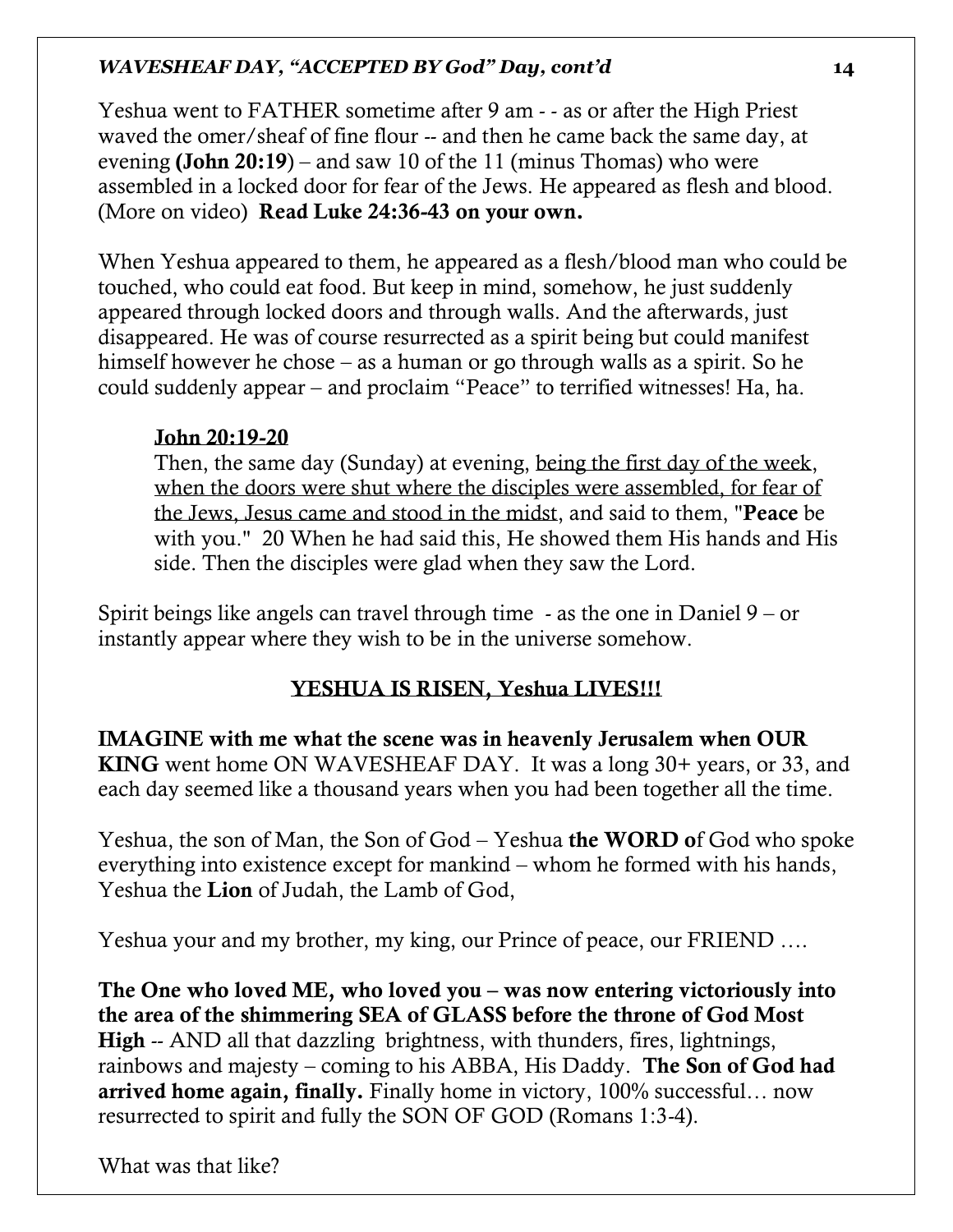Yeshua went to FATHER sometime after 9 am - - as or after the High Priest waved the omer/sheaf of fine flour -- and then he came back the same day, at evening (John 20:19) – and saw 10 of the 11 (minus Thomas) who were assembled in a locked door for fear of the Jews. He appeared as flesh and blood. (More on video) Read Luke 24:36-43 on your own.

When Yeshua appeared to them, he appeared as a flesh/blood man who could be touched, who could eat food. But keep in mind, somehow, he just suddenly appeared through locked doors and through walls. And the afterwards, just disappeared. He was of course resurrected as a spirit being but could manifest himself however he chose – as a human or go through walls as a spirit. So he could suddenly appear – and proclaim "Peace" to terrified witnesses! Ha, ha.

#### John 20:19-20

Then, the same day (Sunday) at evening, being the first day of the week, when the doors were shut where the disciples were assembled, for fear of the Jews, Jesus came and stood in the midst, and said to them, "Peace be with you." 20 When he had said this, He showed them His hands and His side. Then the disciples were glad when they saw the Lord.

Spirit beings like angels can travel through time - as the one in Daniel 9 – or instantly appear where they wish to be in the universe somehow.

# YESHUA IS RISEN, Yeshua LIVES!!!

IMAGINE with me what the scene was in heavenly Jerusalem when OUR KING went home ON WAVESHEAF DAY. It was a long 30+ years, or 33, and each day seemed like a thousand years when you had been together all the time.

Yeshua, the son of Man, the Son of God – Yeshua the **WORD** of God who spoke everything into existence except for mankind – whom he formed with his hands, Yeshua the Lion of Judah, the Lamb of God,

Yeshua your and my brother, my king, our Prince of peace, our FRIEND ….

The One who loved ME, who loved you – was now entering victoriously into the area of the shimmering SEA of GLASS before the throne of God Most High -- AND all that dazzling brightness, with thunders, fires, lightnings, rainbows and majesty – coming to his ABBA, His Daddy. The Son of God had arrived home again, finally. Finally home in victory, 100% successful… now resurrected to spirit and fully the SON OF GOD (Romans 1:3-4).

What was that like?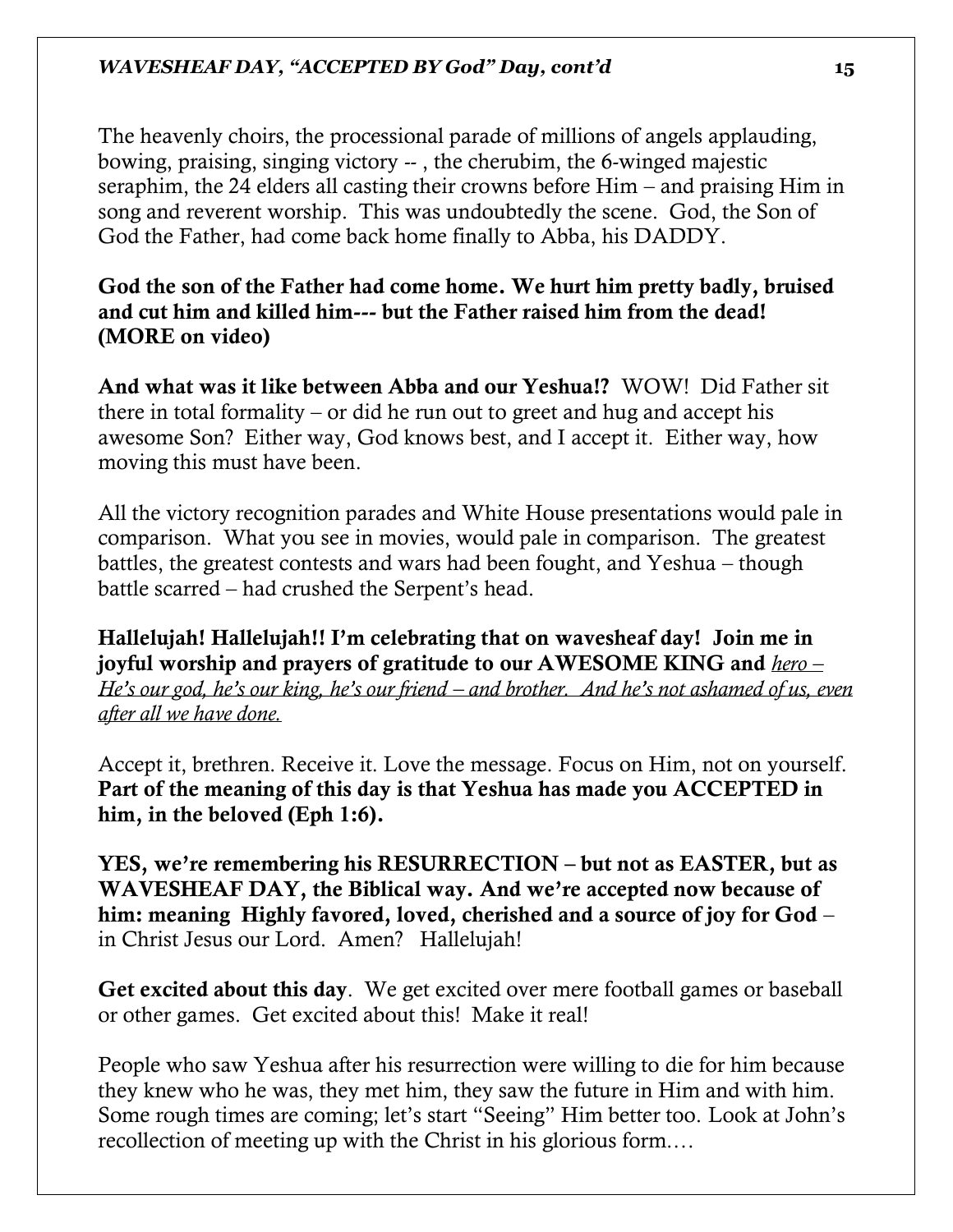The heavenly choirs, the processional parade of millions of angels applauding, bowing, praising, singing victory -- , the cherubim, the 6-winged majestic seraphim, the 24 elders all casting their crowns before Him – and praising Him in song and reverent worship. This was undoubtedly the scene. God, the Son of God the Father, had come back home finally to Abba, his DADDY.

God the son of the Father had come home. We hurt him pretty badly, bruised and cut him and killed him--- but the Father raised him from the dead! (MORE on video)

And what was it like between Abba and our Yeshua!? WOW! Did Father sit there in total formality – or did he run out to greet and hug and accept his awesome Son? Either way, God knows best, and I accept it. Either way, how moving this must have been.

All the victory recognition parades and White House presentations would pale in comparison. What you see in movies, would pale in comparison. The greatest battles, the greatest contests and wars had been fought, and Yeshua – though battle scarred – had crushed the Serpent's head.

Hallelujah! Hallelujah!! I'm celebrating that on wavesheaf day! Join me in joyful worship and prayers of gratitude to our AWESOME KING and *hero – He's our god, he's our king, he's our friend – and brother. And he's not ashamed of us, even after all we have done.* 

Accept it, brethren. Receive it. Love the message. Focus on Him, not on yourself. Part of the meaning of this day is that Yeshua has made you ACCEPTED in him, in the beloved (Eph 1:6).

YES, we're remembering his RESURRECTION – but not as EASTER, but as WAVESHEAF DAY, the Biblical way. And we're accepted now because of him: meaning Highly favored, loved, cherished and a source of joy for God – in Christ Jesus our Lord. Amen? Hallelujah!

Get excited about this day. We get excited over mere football games or baseball or other games. Get excited about this! Make it real!

People who saw Yeshua after his resurrection were willing to die for him because they knew who he was, they met him, they saw the future in Him and with him. Some rough times are coming; let's start "Seeing" Him better too. Look at John's recollection of meeting up with the Christ in his glorious form.…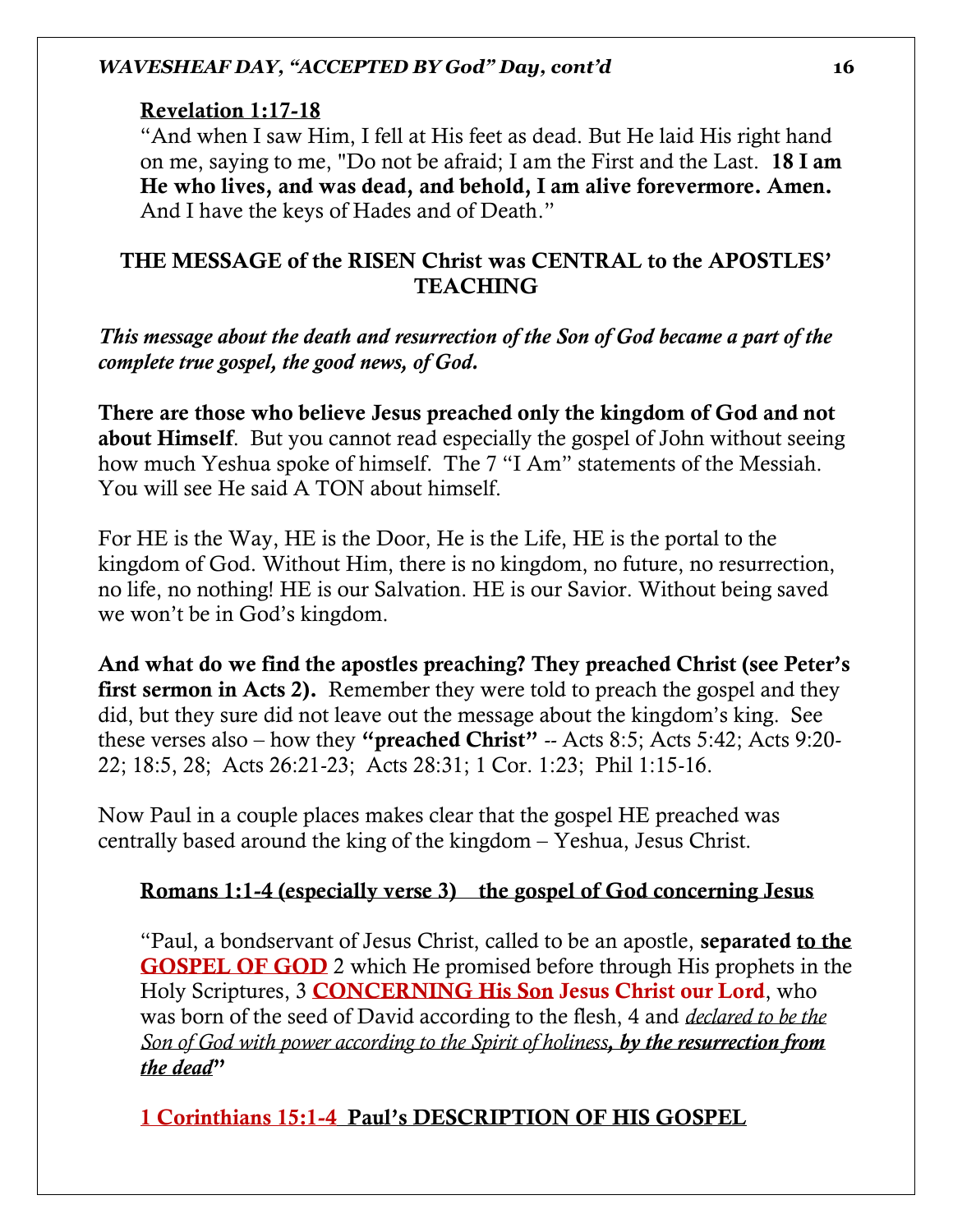#### Revelation 1:17-18

"And when I saw Him, I fell at His feet as dead. But He laid His right hand on me, saying to me, "Do not be afraid; I am the First and the Last. 18 I am He who lives, and was dead, and behold, I am alive forevermore. Amen. And I have the keys of Hades and of Death."

# THE MESSAGE of the RISEN Christ was CENTRAL to the APOSTLES' **TEACHING**

*This message about the death and resurrection of the Son of God became a part of the complete true gospel, the good news, of God.* 

There are those who believe Jesus preached only the kingdom of God and not about Himself. But you cannot read especially the gospel of John without seeing how much Yeshua spoke of himself. The 7 "I Am" statements of the Messiah. You will see He said A TON about himself.

For HE is the Way, HE is the Door, He is the Life, HE is the portal to the kingdom of God. Without Him, there is no kingdom, no future, no resurrection, no life, no nothing! HE is our Salvation. HE is our Savior. Without being saved we won't be in God's kingdom.

And what do we find the apostles preaching? They preached Christ (see Peter's first sermon in Acts 2). Remember they were told to preach the gospel and they did, but they sure did not leave out the message about the kingdom's king. See these verses also – how they "preached Christ" -- Acts 8:5; Acts 5:42; Acts 9:20- 22; 18:5, 28; Acts 26:21-23; Acts 28:31; 1 Cor. 1:23; Phil 1:15-16.

Now Paul in a couple places makes clear that the gospel HE preached was centrally based around the king of the kingdom – Yeshua, Jesus Christ.

# Romans 1:1-4 (especially verse 3) the gospel of God concerning Jesus

"Paul, a bondservant of Jesus Christ, called to be an apostle, separated to the GOSPEL OF GOD 2 which He promised before through His prophets in the Holy Scriptures, 3 **CONCERNING His Son Jesus Christ our Lord**, who was born of the seed of David according to the flesh, 4 and *declared to be the Son of God with power according to the Spirit of holiness, by the resurrection from the dead*"

1 Corinthians 15:1-4 Paul's DESCRIPTION OF HIS GOSPEL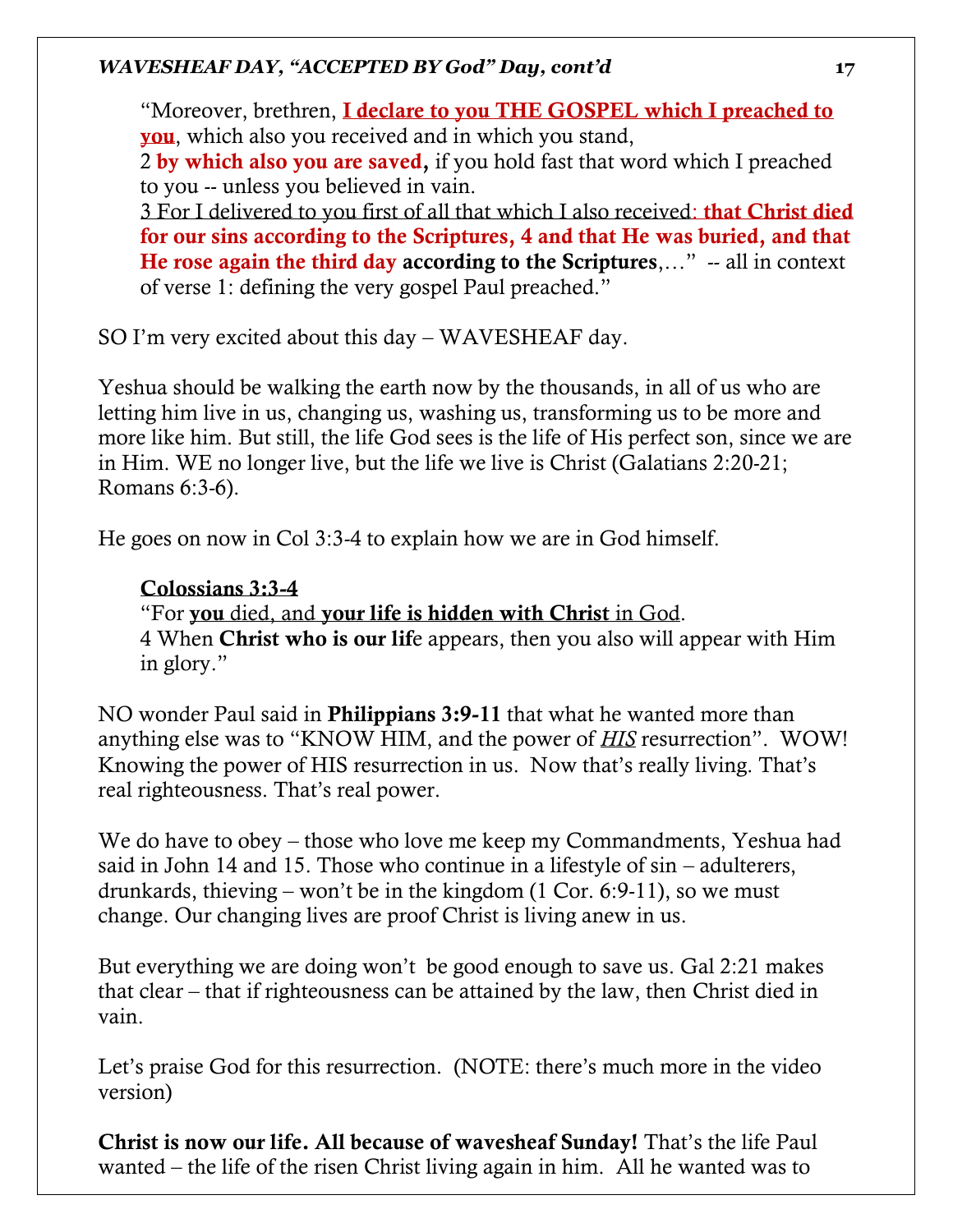"Moreover, brethren, I declare to you THE GOSPEL which I preached to you, which also you received and in which you stand, 2 by which also you are saved, if you hold fast that word which I preached to you -- unless you believed in vain. 3 For I delivered to you first of all that which I also received: **that Christ died** for our sins according to the Scriptures, 4 and that He was buried, and that He rose again the third day according to the Scriptures,..." -- all in context

of verse 1: defining the very gospel Paul preached."

SO I'm very excited about this day – WAVESHEAF day.

Yeshua should be walking the earth now by the thousands, in all of us who are letting him live in us, changing us, washing us, transforming us to be more and more like him. But still, the life God sees is the life of His perfect son, since we are in Him. WE no longer live, but the life we live is Christ (Galatians 2:20-21; Romans 6:3-6).

He goes on now in Col 3:3-4 to explain how we are in God himself.

# Colossians 3:3-4

"For you died, and your life is hidden with Christ in God. 4 When Christ who is our life appears, then you also will appear with Him in glory."

NO wonder Paul said in Philippians 3:9-11 that what he wanted more than anything else was to "KNOW HIM, and the power of *HIS* resurrection". WOW! Knowing the power of HIS resurrection in us. Now that's really living. That's real righteousness. That's real power.

We do have to obey – those who love me keep my Commandments, Yeshua had said in John 14 and 15. Those who continue in a lifestyle of sin – adulterers, drunkards, thieving – won't be in the kingdom (1 Cor. 6:9-11), so we must change. Our changing lives are proof Christ is living anew in us.

But everything we are doing won't be good enough to save us. Gal 2:21 makes that clear – that if righteousness can be attained by the law, then Christ died in vain.

Let's praise God for this resurrection. (NOTE: there's much more in the video version)

Christ is now our life. All because of wavesheaf Sunday! That's the life Paul wanted – the life of the risen Christ living again in him. All he wanted was to